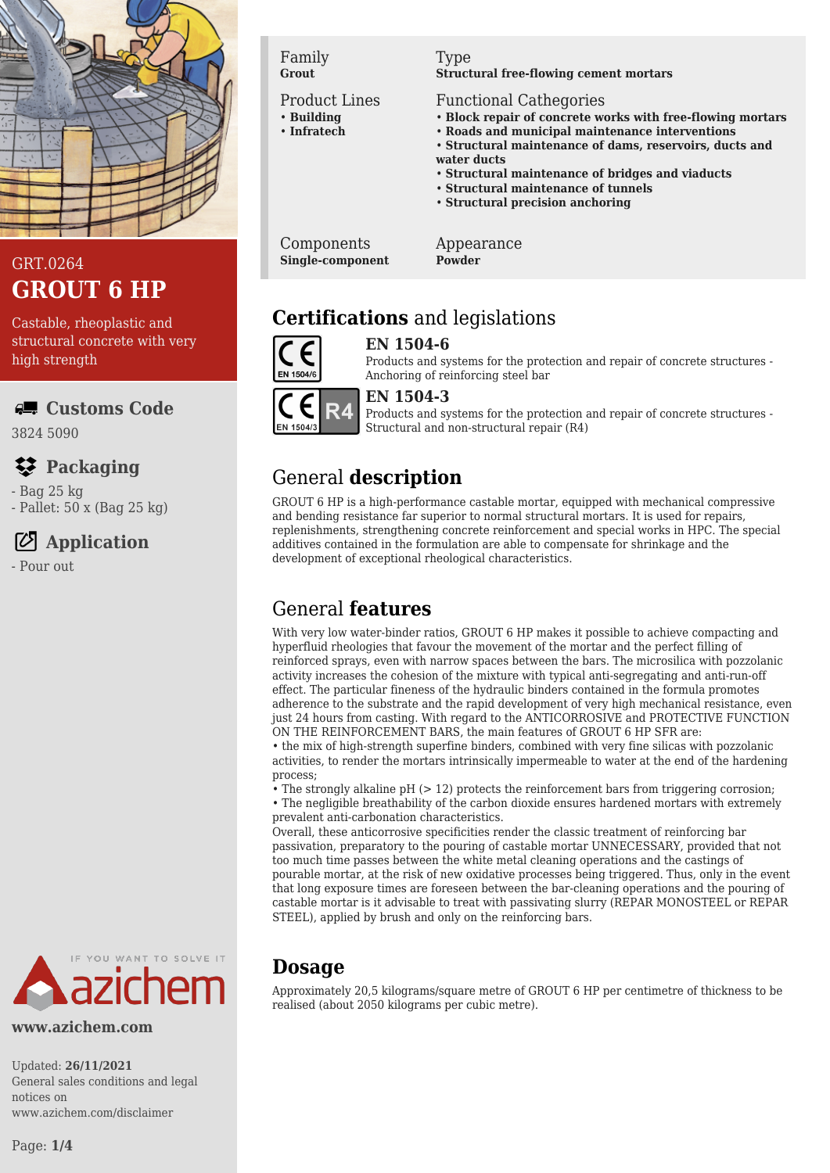

## GRT.0264 **GROUT 6 HP**

Castable, rheoplastic and structural concrete with very high strength

## **Customs Code**

3824 5090

## **Packaging**

- Bag 25 kg

- Pallet: 50 x (Bag 25 kg)

## **Application**

- Pour out



**www.azichem.com**

Updated: **26/11/2021** General sales conditions and legal notices on www.azichem.com/disclaimer

Family **Grout**

#### Product Lines

- **Building** • **Infratech**
- 

#### Type

**Structural free-flowing cement mortars**

#### Functional Cathegories

- **Block repair of concrete works with free-flowing mortars**
- **Roads and municipal maintenance interventions**
- **Structural maintenance of dams, reservoirs, ducts and water ducts**
- **Structural maintenance of bridges and viaducts**
- **Structural maintenance of tunnels**
- **Structural precision anchoring**

Components **Single-component** Appearance **Powder**

## **Certifications** and legislations



#### **EN 1504-6** Products and systems for the protection and repair of concrete structures -

Anchoring of reinforcing steel bar

### **EN 1504-3**

Products and systems for the protection and repair of concrete structures - Structural and non-structural repair (R4)

# General **description**

GROUT 6 HP is a high-performance castable mortar, equipped with mechanical compressive and bending resistance far superior to normal structural mortars. It is used for repairs, replenishments, strengthening concrete reinforcement and special works in HPC. The special additives contained in the formulation are able to compensate for shrinkage and the development of exceptional rheological characteristics.

# General **features**

With very low water-binder ratios, GROUT 6 HP makes it possible to achieve compacting and hyperfluid rheologies that favour the movement of the mortar and the perfect filling of reinforced sprays, even with narrow spaces between the bars. The microsilica with pozzolanic activity increases the cohesion of the mixture with typical anti-segregating and anti-run-off effect. The particular fineness of the hydraulic binders contained in the formula promotes adherence to the substrate and the rapid development of very high mechanical resistance, even just 24 hours from casting. With regard to the ANTICORROSIVE and PROTECTIVE FUNCTION ON THE REINFORCEMENT BARS, the main features of GROUT 6 HP SFR are:

• the mix of high-strength superfine binders, combined with very fine silicas with pozzolanic activities, to render the mortars intrinsically impermeable to water at the end of the hardening process;

• The strongly alkaline pH (> 12) protects the reinforcement bars from triggering corrosion; • The negligible breathability of the carbon dioxide ensures hardened mortars with extremely prevalent anti-carbonation characteristics.

Overall, these anticorrosive specificities render the classic treatment of reinforcing bar passivation, preparatory to the pouring of castable mortar UNNECESSARY, provided that not too much time passes between the white metal cleaning operations and the castings of pourable mortar, at the risk of new oxidative processes being triggered. Thus, only in the event that long exposure times are foreseen between the bar-cleaning operations and the pouring of castable mortar is it advisable to treat with passivating slurry (REPAR MONOSTEEL or REPAR STEEL), applied by brush and only on the reinforcing bars.

## **Dosage**

Approximately 20,5 kilograms/square metre of GROUT 6 HP per centimetre of thickness to be realised (about 2050 kilograms per cubic metre).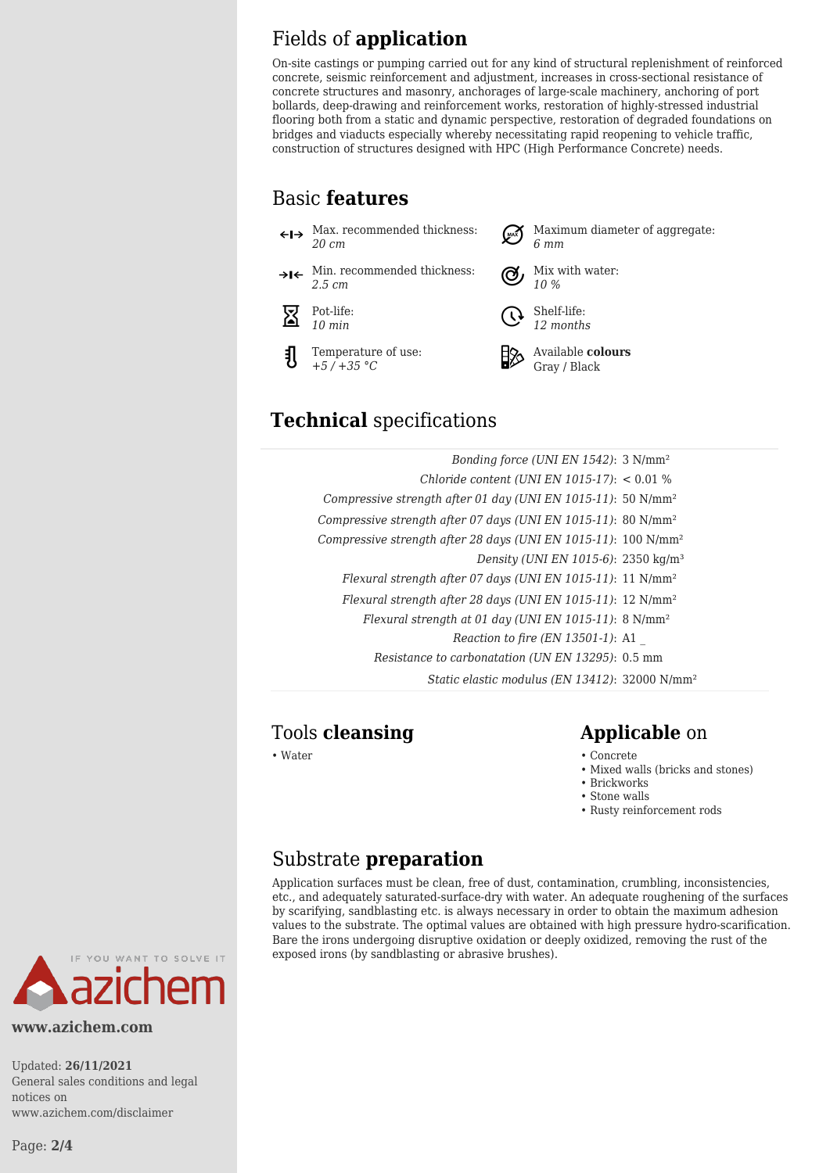## Fields of **application**

On-site castings or pumping carried out for any kind of structural replenishment of reinforced concrete, seismic reinforcement and adjustment, increases in cross-sectional resistance of concrete structures and masonry, anchorages of large-scale machinery, anchoring of port bollards, deep-drawing and reinforcement works, restoration of highly-stressed industrial flooring both from a static and dynamic perspective, restoration of degraded foundations on bridges and viaducts especially whereby necessitating rapid reopening to vehicle traffic, construction of structures designed with HPC (High Performance Concrete) needs.

## Basic **features**

- Max. recommended thickness: *20 cm*
- $\rightarrow$ I $\leftarrow$  Min. recommended thickness: *2.5 cm*



Temperature of use: 케 *+5 / +35 °C*

Maximum diameter of aggregate: *6 mm*





Shelf-life: *12 months*



Available **colours** Gray / Black

## **Technical** specifications

| Bonding force (UNI EN 1542): $3 \text{ N/mm}^2$                            |  |
|----------------------------------------------------------------------------|--|
| Chloride content (UNI EN 1015-17): $< 0.01$ %                              |  |
| Compressive strength after 01 day (UNI EN 1015-11): 50 N/mm <sup>2</sup>   |  |
| Compressive strength after 07 days (UNI EN 1015-11): 80 N/mm <sup>2</sup>  |  |
| Compressive strength after 28 days (UNI EN 1015-11): 100 N/mm <sup>2</sup> |  |
| Density (UNI EN 1015-6): 2350 kg/m <sup>3</sup>                            |  |
| Flexural strength after 07 days (UNI EN 1015-11): 11 N/mm <sup>2</sup>     |  |
| Flexural strength after 28 days (UNI EN 1015-11): 12 N/mm <sup>2</sup>     |  |
| Flexural strength at 01 day (UNI EN 1015-11): $8 \text{ N/mm}^2$           |  |
| <i>Reaction to fire (EN 13501-1):</i> A1                                   |  |
| Resistance to carbonatation (UN EN 13295): 0.5 mm                          |  |
| Static elastic modulus (EN 13412): 32000 N/mm <sup>2</sup>                 |  |
|                                                                            |  |

## Tools **cleansing Applicable** on

- Water Concrete Concrete Concrete Concrete Concrete Concrete Concrete Concrete Concrete Concrete Concrete Concrete Concrete Concrete Concrete Concrete Concrete Concrete Concrete Con
	- Mixed walls (bricks and stones)
	- Brickworks
	- Stone walls
	- Rusty reinforcement rods

## Substrate **preparation**

Application surfaces must be clean, free of dust, contamination, crumbling, inconsistencies, etc., and adequately saturated-surface-dry with water. An adequate roughening of the surfaces by scarifying, sandblasting etc. is always necessary in order to obtain the maximum adhesion values to the substrate. The optimal values are obtained with high pressure hydro-scarification. Bare the irons undergoing disruptive oxidation or deeply oxidized, removing the rust of the exposed irons (by sandblasting or abrasive brushes).



**www.azichem.com**

Updated: **26/11/2021** General sales conditions and legal notices on www.azichem.com/disclaimer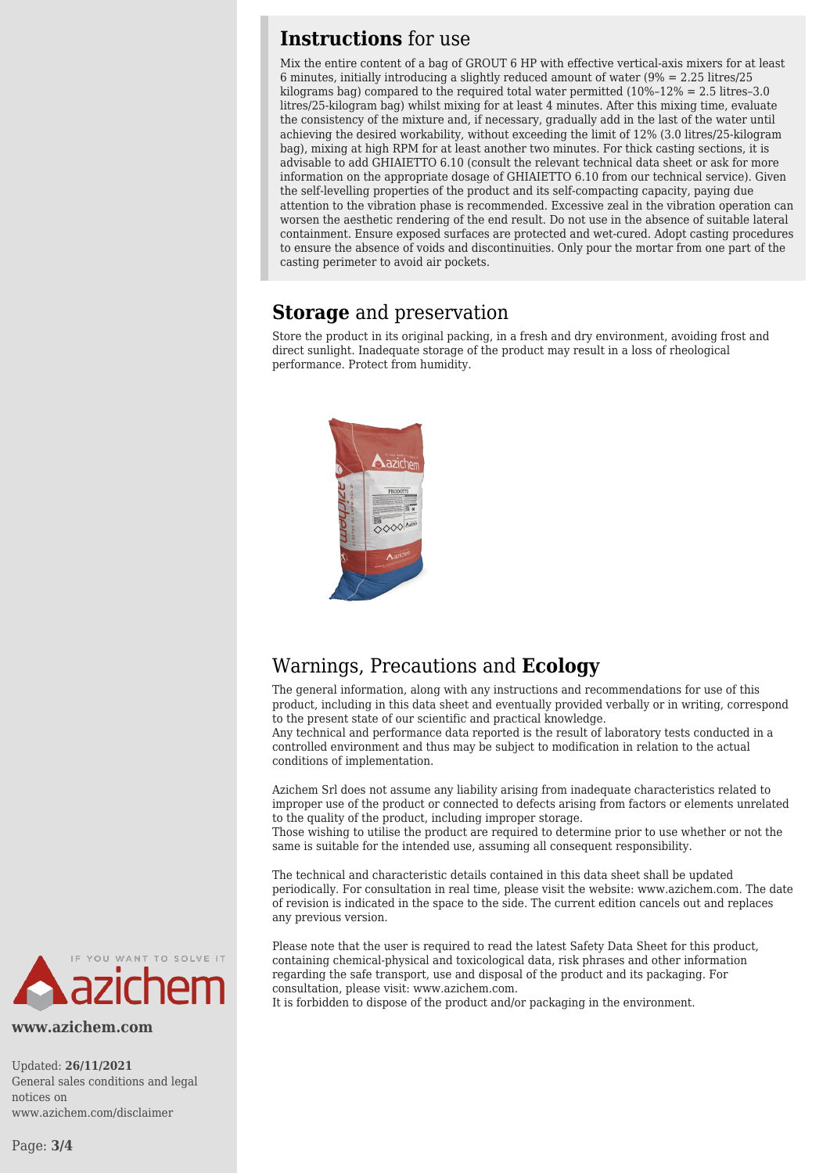### **Instructions** for use

Mix the entire content of a bag of GROUT 6 HP with effective vertical-axis mixers for at least 6 minutes, initially introducing a slightly reduced amount of water (9% = 2.25 litres/25 kilograms bag) compared to the required total water permitted  $(10\% - 12\% = 2.5$  litres-3.0 litres/25-kilogram bag) whilst mixing for at least 4 minutes. After this mixing time, evaluate the consistency of the mixture and, if necessary, gradually add in the last of the water until achieving the desired workability, without exceeding the limit of 12% (3.0 litres/25-kilogram bag), mixing at high RPM for at least another two minutes. For thick casting sections, it is advisable to add GHIAIETTO 6.10 (consult the relevant technical data sheet or ask for more information on the appropriate dosage of GHIAIETTO 6.10 from our technical service). Given the self-levelling properties of the product and its self-compacting capacity, paying due attention to the vibration phase is recommended. Excessive zeal in the vibration operation can worsen the aesthetic rendering of the end result. Do not use in the absence of suitable lateral containment. Ensure exposed surfaces are protected and wet-cured. Adopt casting procedures to ensure the absence of voids and discontinuities. Only pour the mortar from one part of the casting perimeter to avoid air pockets.

### **Storage** and preservation

Store the product in its original packing, in a fresh and dry environment, avoiding frost and direct sunlight. Inadequate storage of the product may result in a loss of rheological performance. Protect from humidity.



## Warnings, Precautions and **Ecology**

The general information, along with any instructions and recommendations for use of this product, including in this data sheet and eventually provided verbally or in writing, correspond to the present state of our scientific and practical knowledge.

Any technical and performance data reported is the result of laboratory tests conducted in a controlled environment and thus may be subject to modification in relation to the actual conditions of implementation.

Azichem Srl does not assume any liability arising from inadequate characteristics related to improper use of the product or connected to defects arising from factors or elements unrelated to the quality of the product, including improper storage.

Those wishing to utilise the product are required to determine prior to use whether or not the same is suitable for the intended use, assuming all consequent responsibility.

The technical and characteristic details contained in this data sheet shall be updated periodically. For consultation in real time, please visit the website: www.azichem.com. The date of revision is indicated in the space to the side. The current edition cancels out and replaces any previous version.

Please note that the user is required to read the latest Safety Data Sheet for this product, containing chemical-physical and toxicological data, risk phrases and other information regarding the safe transport, use and disposal of the product and its packaging. For consultation, please visit: www.azichem.com.

It is forbidden to dispose of the product and/or packaging in the environment.



**www.azichem.com**

Updated: **26/11/2021** General sales conditions and legal notices on www.azichem.com/disclaimer